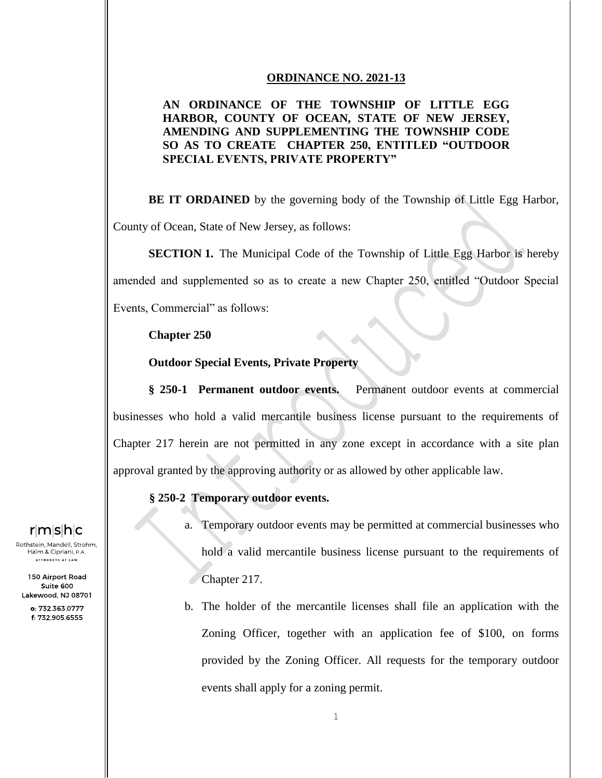#### **ORDINANCE NO. 2021-13**

### **AN ORDINANCE OF THE TOWNSHIP OF LITTLE EGG HARBOR, COUNTY OF OCEAN, STATE OF NEW JERSEY, AMENDING AND SUPPLEMENTING THE TOWNSHIP CODE SO AS TO CREATE CHAPTER 250, ENTITLED "OUTDOOR SPECIAL EVENTS, PRIVATE PROPERTY"**

**BE IT ORDAINED** by the governing body of the Township of Little Egg Harbor, County of Ocean, State of New Jersey, as follows:

**SECTION 1.** The Municipal Code of the Township of Little Egg Harbor is hereby amended and supplemented so as to create a new Chapter 250, entitled "Outdoor Special Events, Commercial" as follows:

**Chapter 250** 

**Outdoor Special Events, Private Property**

**§ 250-1 Permanent outdoor events.** Permanent outdoor events at commercial businesses who hold a valid mercantile business license pursuant to the requirements of Chapter 217 herein are not permitted in any zone except in accordance with a site plan approval granted by the approving authority or as allowed by other applicable law.

#### **§ 250-2 Temporary outdoor events.**

- a. Temporary outdoor events may be permitted at commercial businesses who hold a valid mercantile business license pursuant to the requirements of Chapter 217.
- b. The holder of the mercantile licenses shall file an application with the Zoning Officer, together with an application fee of \$100, on forms provided by the Zoning Officer. All requests for the temporary outdoor events shall apply for a zoning permit.

### rimisihic

Rothstein, Mandell, Strohm, Halm & Cipriani, P.A. **ATTORNEYS AT LAW** 

150 Airport Road Suite 600 Lakewood, NJ 08701

> o: 732.363.0777 f: 732.905.6555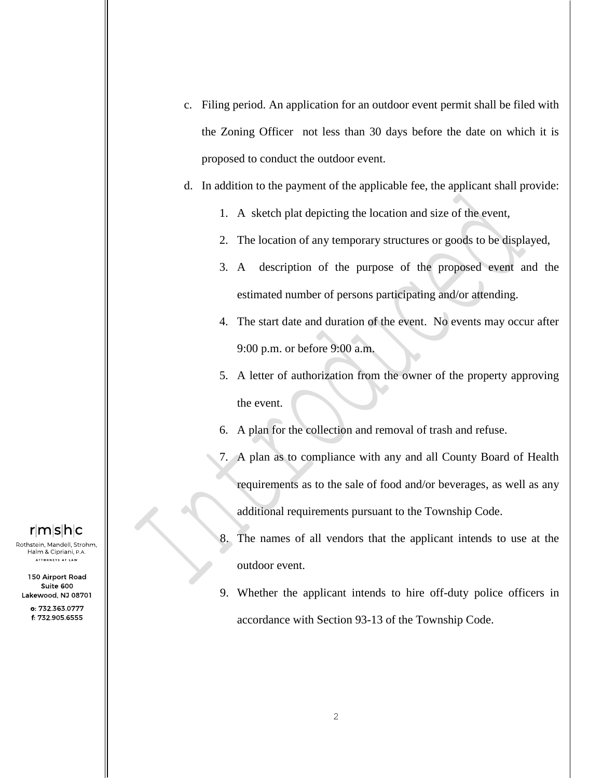- c. Filing period. An application for an outdoor event permit shall be filed with the Zoning Officer not less than 30 days before the date on which it is proposed to conduct the outdoor event.
- d. In addition to the payment of the applicable fee, the applicant shall provide:
	- 1. A sketch plat depicting the location and size of the event,
	- 2. The location of any temporary structures or goods to be displayed,
	- 3. A description of the purpose of the proposed event and the estimated number of persons participating and/or attending.
	- 4. The start date and duration of the event. No events may occur after 9:00 p.m. or before 9:00 a.m.
	- 5. A letter of authorization from the owner of the property approving the event.
	- 6. A plan for the collection and removal of trash and refuse.
	- 7. A plan as to compliance with any and all County Board of Health requirements as to the sale of food and/or beverages, as well as any additional requirements pursuant to the Township Code.
	- 8. The names of all vendors that the applicant intends to use at the outdoor event.
	- 9. Whether the applicant intends to hire off-duty police officers in accordance with Section 93-13 of the Township Code.

## r∣m∣s∣h∣c

Rothstein, Mandell, Strohm, Halm & Cipriani, P.A. **ATTORNEYS AT LAW** 

150 Airport Road Suite 600 Lakewood, NJ 08701

> 0: 732 363 0777 f: 732.905.6555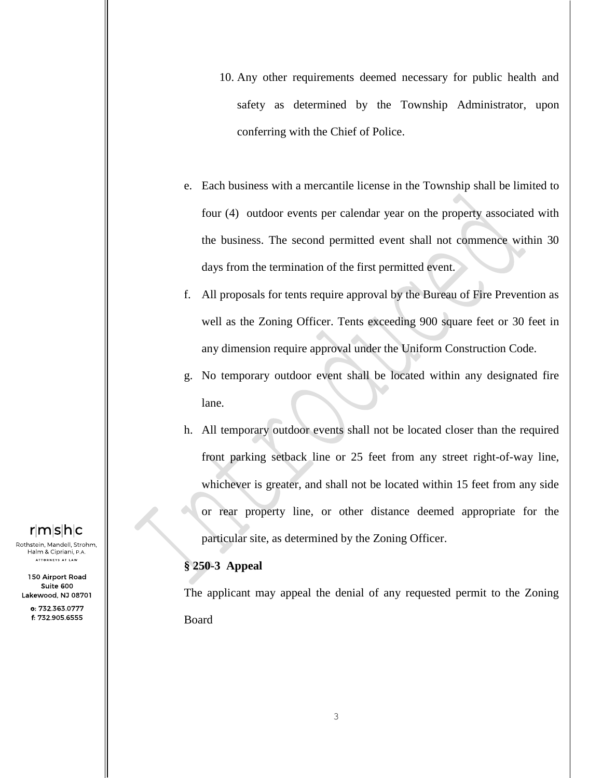- 10. Any other requirements deemed necessary for public health and safety as determined by the Township Administrator, upon conferring with the Chief of Police.
- e. Each business with a mercantile license in the Township shall be limited to four (4) outdoor events per calendar year on the property associated with the business. The second permitted event shall not commence within 30 days from the termination of the first permitted event.
- f. All proposals for tents require approval by the Bureau of Fire Prevention as well as the Zoning Officer. Tents exceeding 900 square feet or 30 feet in any dimension require approval under the Uniform Construction Code.
- g. No temporary outdoor event shall be located within any designated fire lane.
- h. All temporary outdoor events shall not be located closer than the required front parking setback line or 25 feet from any street right-of-way line, whichever is greater, and shall not be located within 15 feet from any side or rear property line, or other distance deemed appropriate for the particular site, as determined by the Zoning Officer.

#### **§ 250-3 Appeal**

The applicant may appeal the denial of any requested permit to the Zoning Board

## rimisihic

Rothstein, Mandell, Strohm, Halm & Cipriani, P.A. **ATTORNEYS AT LAW** 

150 Airport Road Suite 600 Lakewood, NJ 08701

> 0: 732 363 0777 f: 732.905.6555